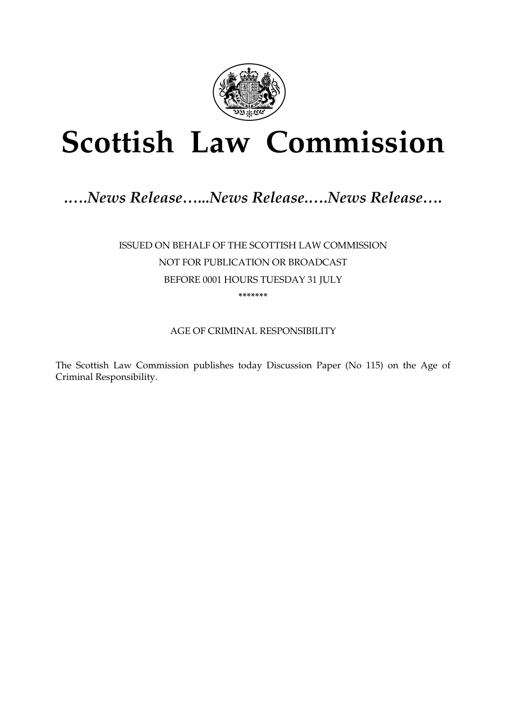

# **Scottish Law Commission**

# .....News Release......News Release.....News Release....

ISSUED ON BEHALF OF THE SCOTTISH LAW COMMISSION NOT FOR PUBLICATION OR BROADCAST BEFORE 0001 HOURS TUESDAY 31 JULY \*\*\*\*\*\*\*

AGE OF CRIMINAL RESPONSIBILITY

The Scottish Law Commission publishes today Discussion Paper (No 115) on the Age of Criminal Responsibility.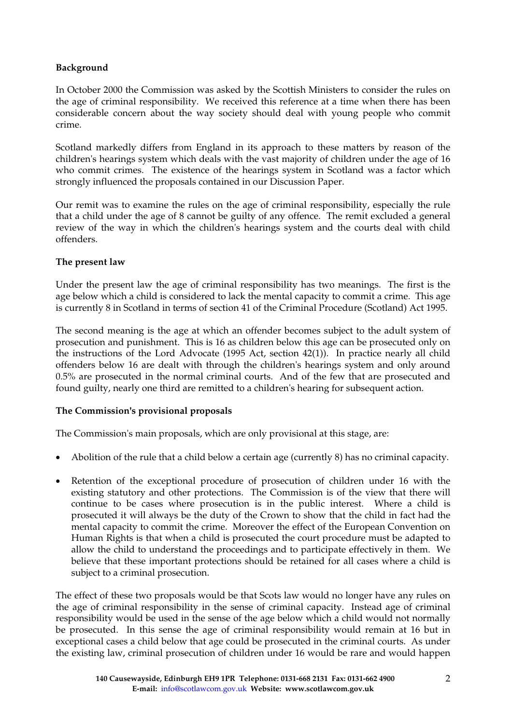## **Background**

In October 2000 the Commission was asked by the Scottish Ministers to consider the rules on the age of criminal responsibility. We received this reference at a time when there has been considerable concern about the way society should deal with young people who commit crime.

Scotland markedly differs from England in its approach to these matters by reason of the children's hearings system which deals with the vast majority of children under the age of 16 who commit crimes. The existence of the hearings system in Scotland was a factor which strongly influenced the proposals contained in our Discussion Paper.

Our remit was to examine the rules on the age of criminal responsibility, especially the rule that a child under the age of 8 cannot be guilty of any offence. The remit excluded a general review of the way in which the children's hearings system and the courts deal with child offenders.

#### **The present law**

Under the present law the age of criminal responsibility has two meanings. The first is the age below which a child is considered to lack the mental capacity to commit a crime. This age is currently 8 in Scotland in terms of section 41 of the Criminal Procedure (Scotland) Act 1995.

The second meaning is the age at which an offender becomes subject to the adult system of prosecution and punishment. This is 16 as children below this age can be prosecuted only on the instructions of the Lord Advocate (1995 Act, section 42(1)). In practice nearly all child offenders below 16 are dealt with through the children's hearings system and only around 0.5% are prosecuted in the normal criminal courts. And of the few that are prosecuted and found guilty, nearly one third are remitted to a children's hearing for subsequent action.

#### **The Commission's provisional proposals**

The Commission's main proposals, which are only provisional at this stage, are:

- Abolition of the rule that a child below a certain age (currently 8) has no criminal capacity.
- Retention of the exceptional procedure of prosecution of children under 16 with the existing statutory and other protections. The Commission is of the view that there will continue to be cases where prosecution is in the public interest. Where a child is prosecuted it will always be the duty of the Crown to show that the child in fact had the mental capacity to commit the crime. Moreover the effect of the European Convention on Human Rights is that when a child is prosecuted the court procedure must be adapted to allow the child to understand the proceedings and to participate effectively in them. We believe that these important protections should be retained for all cases where a child is subject to a criminal prosecution.

The effect of these two proposals would be that Scots law would no longer have any rules on the age of criminal responsibility in the sense of criminal capacity. Instead age of criminal responsibility would be used in the sense of the age below which a child would not normally be prosecuted. In this sense the age of criminal responsibility would remain at 16 but in exceptional cases a child below that age could be prosecuted in the criminal courts. As under the existing law, criminal prosecution of children under 16 would be rare and would happen